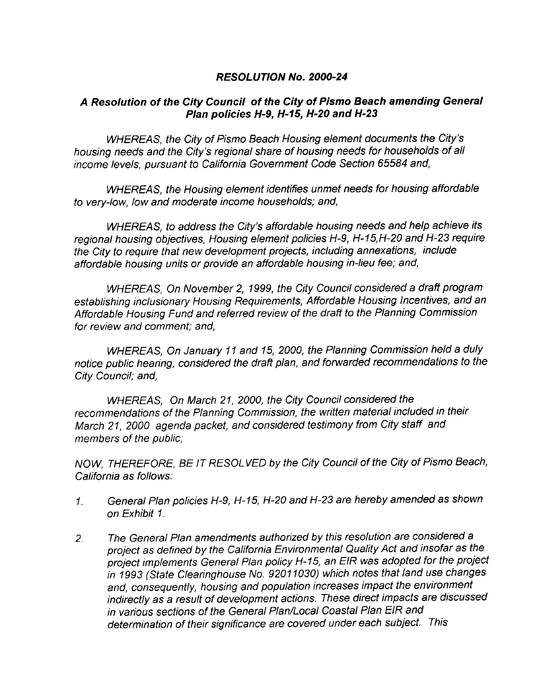# RESOLUTION No. 2000-24

# A Resolution of the City Council of the City of Pismo Beach amending General<br>Plan policies H-9, H-15, H-20 and H-23

solution of the City Counch of the City of Pismo Beach amending Geness<br>Plan policies H-9, H-15, H-20 and H-23<br>WHEREAS, the City of Pismo Beach Housing element documents the City's<br>g needs and the City's regional share of h whenes in the City of Hangeles and the City steps and the City of Pismo Beach Housing element documents the City's<br>housing needs and the City's regional share of housing needs for households of all<br>income levels, pursuant income levels, pursuant to California Government Code Section 65584 and,

WHEREAS, the Housing element identifies unmet needs for housing affordable to very-low, low and moderate income households; and,

WHEREAS, the Housing clement racining allience the measing and case<br>to very-low, low and moderate income households; and,<br>WHEREAS, to address the City's affordable housing needs and help achieve its<br>regional housing object WHEREAS, to address the City's affordable housing needs and help achieve its the City to require that new development projects, including annexations, include affordable housing units or provide an affordable housing in-lieu fee; and,

WHEREAS, On November 2, 1999, the City Council considered a draft program establishing inclusionary Housing Requirements, Affordable Housing Incentives, and an Affordable Housing Fund and referred review of the draft to the Planning Commission for review and comment; and,

WHEREAS. On January 11 and 15, 2000, the Planning Commission held a duly notice public hearing, considered the draft plan, and forwarded recommendations to the City Council: and,

WHEREAS, On March 21, 2000, the City Council considered the recommendations of the Planning Commission, the written material included in their March 21, 2000 agenda packet, and considered testimony from City staff and members of the public

NOW, THEREFORE, BE IT RESOLVED by the City Council of the City of Pismo Beach, California as follows

- General Plan policies H-9, H-15, H-20 and H-23 are hereby amended as shown  $\mathcal{L}$ on Exhibit 1
- The General Plan amendments authorized by this resolution are considered <sup>a</sup>  $2<sub>1</sub>$ project as defined by the California Environmental Quality Act and insofar as the project implements General Plan policy H-15, an EIR was adopted for the project in 1993 (State Clearinghouse No. 92011030) which notes that land<br>and, consequently, housing and population increases impact the elindirectly as a result of development actions. These direct impacts<br>in various sections of t in 1993 (State Clearinghouse No. 92011030) which notes that land use changes and, consequently, housing and population increases impact the environment indirectly as a result of development actions. These direct impacts are discussed in various sections of the General Plan/Local Coastal Plan EIR and<br>determination of their significance are covered under each subject. This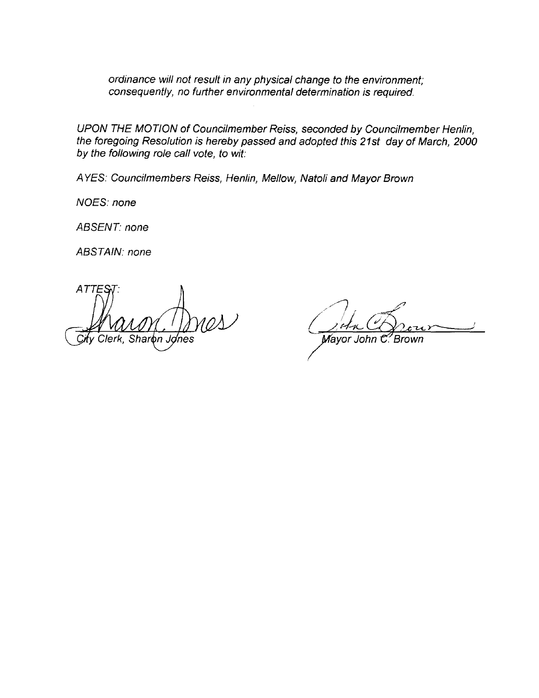ordinance will not result in any physical change to the environment consequently, no further environmental determination is required.

UPON THE MOTION of Councilmember Reiss, seconded by Councilmember Henlin, the foregoing Resolution is hereby passed and adopted this 21st day of March, 2000 by the following role call vote, to wit:

AYES: Councilmembers Reiss, Henlin, Mellow, Natoli and Mayor Brown

NOES: none

ABSENT: none

ABSTAIN: none

**ATTES** Clerk, Sharon Jones

Mayor John C. Brown